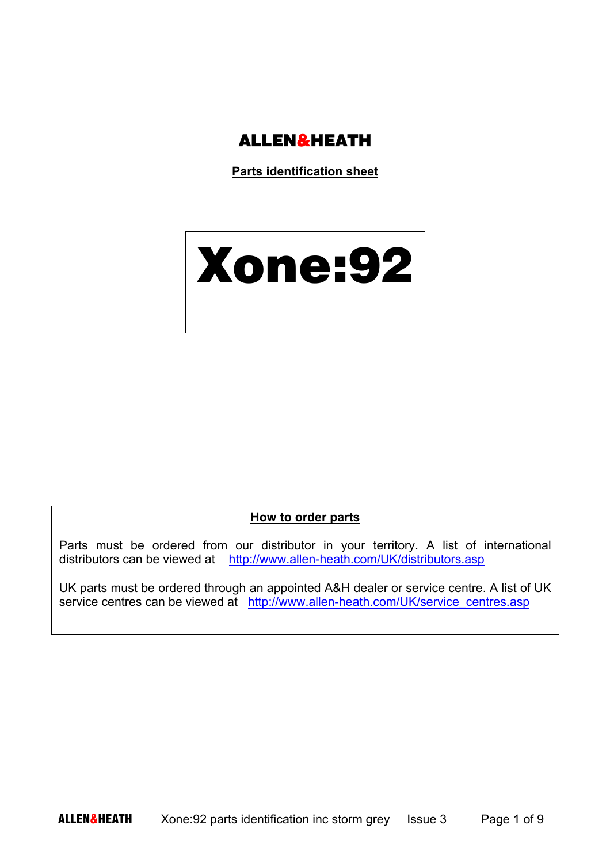

**Parts identification sheet** 

## Xone:92

## **How to order parts**

Parts must be ordered from our distributor in your territory. A list of international distributors can be viewed at http://www.allen-heath.com/UK/distributors.asp

UK parts must be ordered through an appointed A&H dealer or service centre. A list of UK service centres can be viewed at http://www.allen-heath.com/UK/service\_centres.asp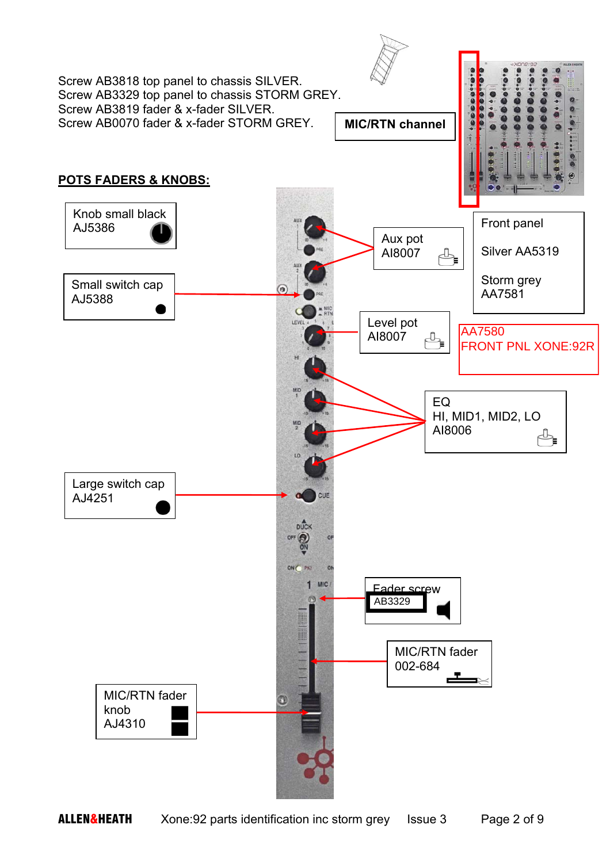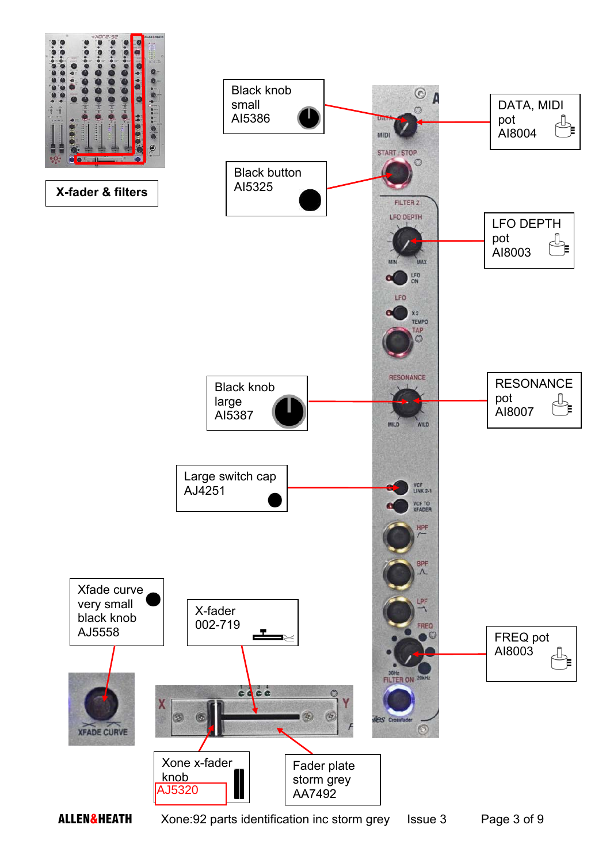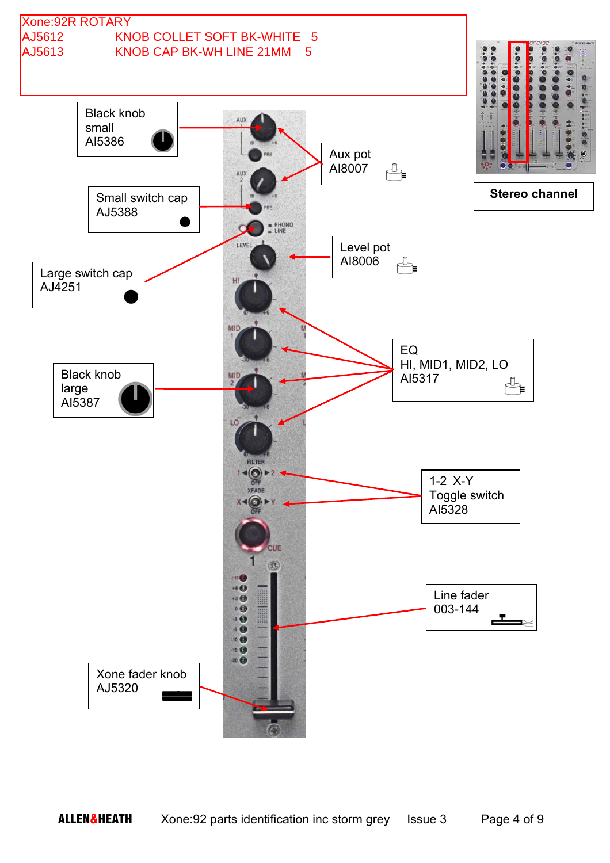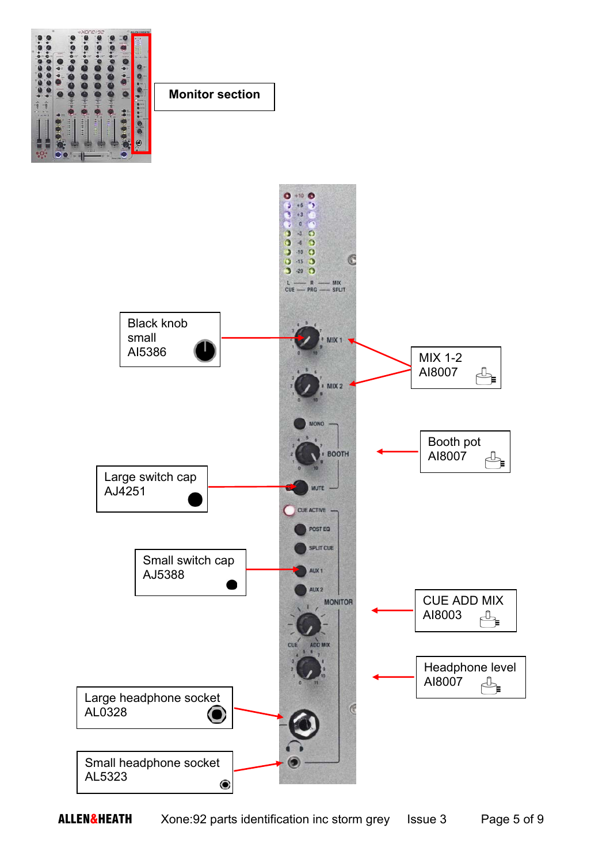

**Monitor section** 

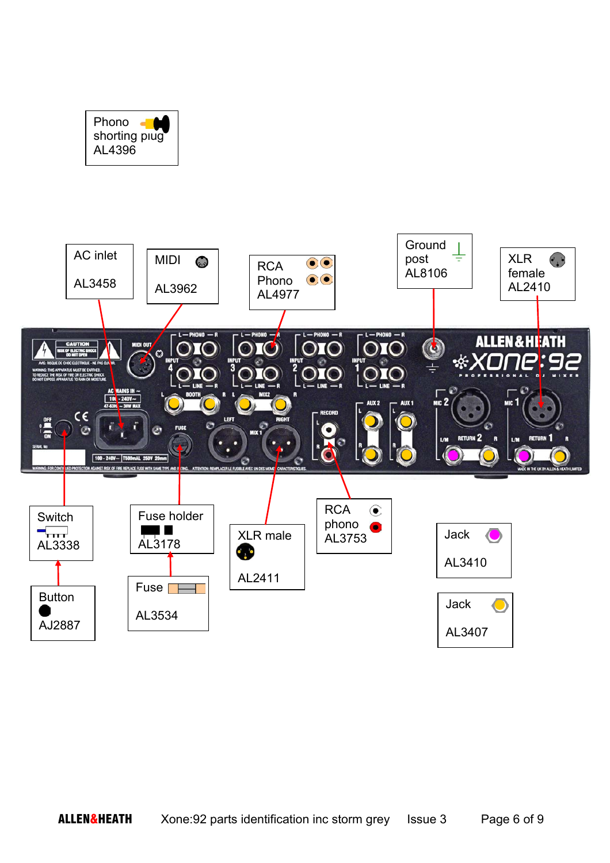

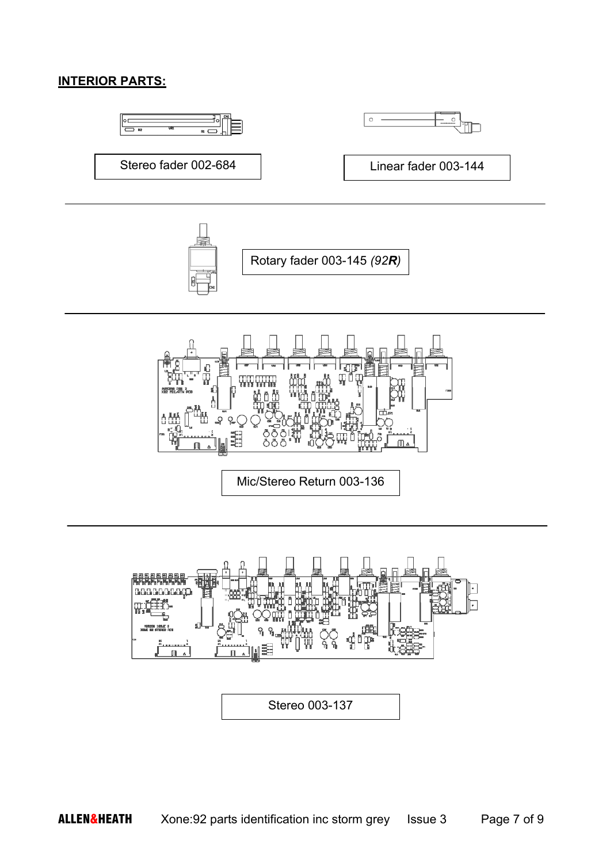## **INTERIOR PARTS:**





Mic/Stereo Return 003-136

Stereo 003-137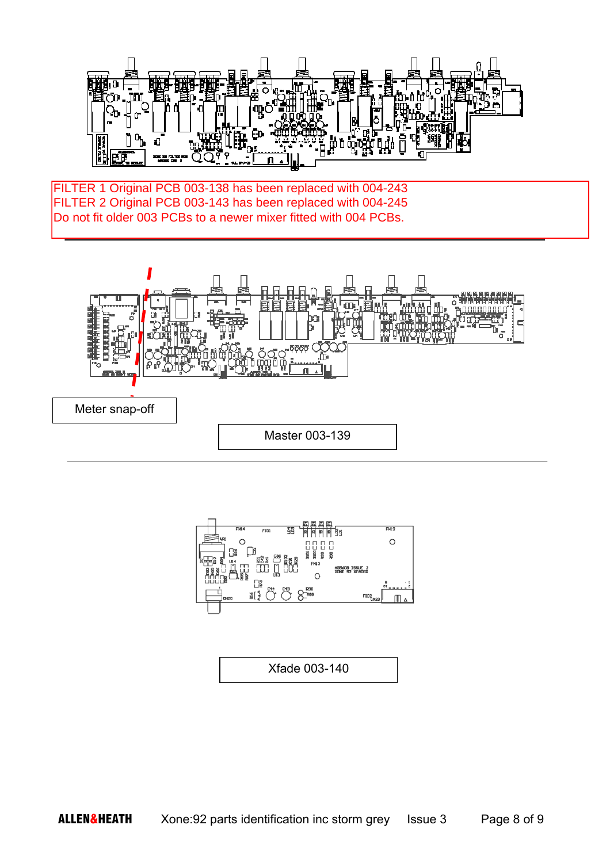

Do not fit older 003 PCBs to a newer mixer fitted with 004 PCBs. FILTER 1 Original PCB 003-138 has been replaced with 004-243 FILTER 2 Original PCB 003-143 has been replaced with 004-245